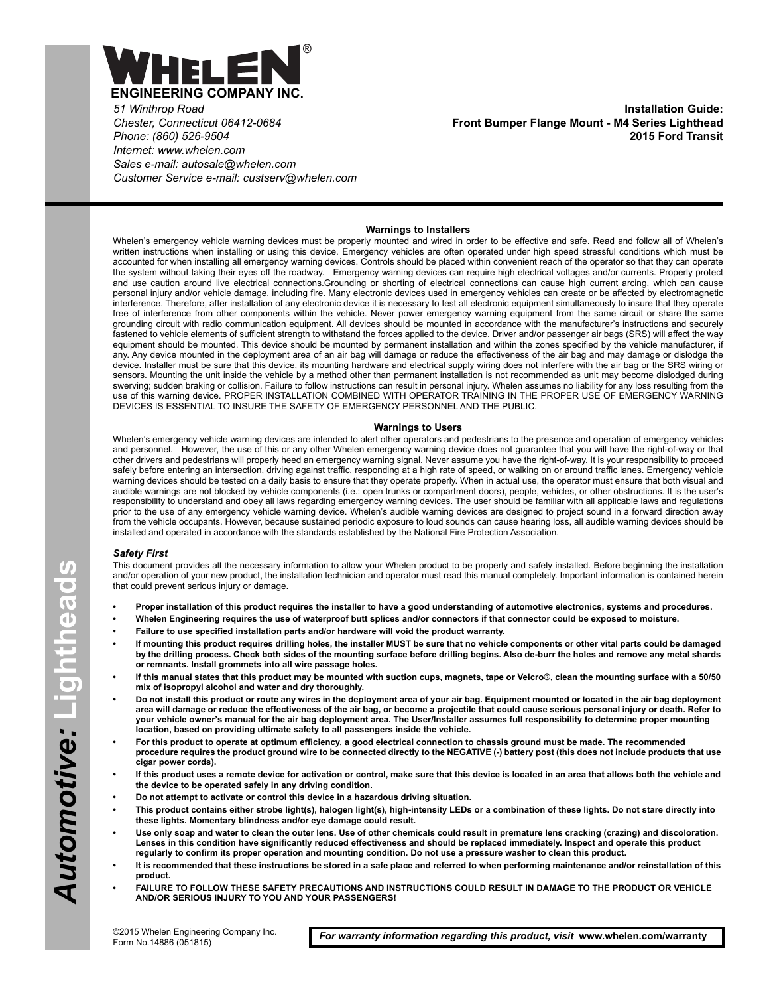

*51 Winthrop Road Chester, Connecticut 06412-0684 Phone: (860) 526-9504 Internet: www.whelen.com Sales e-mail: autosale@whelen.com Customer Service e-mail: custserv@whelen.com*

**Installation Guide: Front Bumper Flange Mount - M4 Series Lighthead 2015 Ford Transit**

## **Warnings to Installers**

Whelen's emergency vehicle warning devices must be properly mounted and wired in order to be effective and safe. Read and follow all of Whelen's written instructions when installing or using this device. Emergency vehicles are often operated under high speed stressful conditions which must be accounted for when installing all emergency warning devices. Controls should be placed within convenient reach of the operator so that they can operate the system without taking their eyes off the roadway. Emergency warning devices can require high electrical voltages and/or currents. Properly protect and use caution around live electrical connections.Grounding or shorting of electrical connections can cause high current arcing, which can cause personal injury and/or vehicle damage, including fire. Many electronic devices used in emergency vehicles can create or be affected by electromagnetic interference. Therefore, after installation of any electronic device it is necessary to test all electronic equipment simultaneously to insure that they operate free of interference from other components within the vehicle. Never power emergency warning equipment from the same circuit or share the same grounding circuit with radio communication equipment. All devices should be mounted in accordance with the manufacturer's instructions and securely fastened to vehicle elements of sufficient strength to withstand the forces applied to the device. Driver and/or passenger air bags (SRS) will affect the way equipment should be mounted. This device should be mounted by permanent installation and within the zones specified by the vehicle manufacturer, if any. Any device mounted in the deployment area of an air bag will damage or reduce the effectiveness of the air bag and may damage or dislodge the device. Installer must be sure that this device, its mounting hardware and electrical supply wiring does not interfere with the air bag or the SRS wiring or sensors. Mounting the unit inside the vehicle by a method other than permanent installation is not recommended as unit may become dislodged during swerving; sudden braking or collision. Failure to follow instructions can result in personal injury. Whelen assumes no liability for any loss resulting from the use of this warning device. PROPER INSTALLATION COMBINED WITH OPERATOR TRAINING IN THE PROPER USE OF EMERGENCY WARNING DEVICES IS ESSENTIAL TO INSURE THE SAFETY OF EMERGENCY PERSONNEL AND THE PUBLIC.

## **Warnings to Users**

Whelen's emergency vehicle warning devices are intended to alert other operators and pedestrians to the presence and operation of emergency vehicles and personnel. However, the use of this or any other Whelen emergency warning device does not guarantee that you will have the right-of-way or that other drivers and pedestrians will properly heed an emergency warning signal. Never assume you have the right-of-way. It is your responsibility to proceed safely before entering an intersection, driving against traffic, responding at a high rate of speed, or walking on or around traffic lanes. Emergency vehicle warning devices should be tested on a daily basis to ensure that they operate properly. When in actual use, the operator must ensure that both visual and audible warnings are not blocked by vehicle components (i.e.: open trunks or compartment doors), people, vehicles, or other obstructions. It is the user's responsibility to understand and obey all laws regarding emergency warning devices. The user should be familiar with all applicable laws and regulations prior to the use of any emergency vehicle warning device. Whelen's audible warning devices are designed to project sound in a forward direction away from the vehicle occupants. However, because sustained periodic exposure to loud sounds can cause hearing loss, all audible warning devices should be installed and operated in accordance with the standards established by the National Fire Protection Association.

## *Safety First*

This document provides all the necessary information to allow your Whelen product to be properly and safely installed. Before beginning the installation and/or operation of your new product, the installation technician and operator must read this manual completely. Important information is contained herein that could prevent serious injury or damage.

- **Proper installation of this product requires the installer to have a good understanding of automotive electronics, systems and procedures.**
- **Whelen Engineering requires the use of waterproof butt splices and/or connectors if that connector could be exposed to moisture.**
- **Failure to use specified installation parts and/or hardware will void the product warranty.**
- **If mounting this product requires drilling holes, the installer MUST be sure that no vehicle components or other vital parts could be damaged by the drilling process. Check both sides of the mounting surface before drilling begins. Also de-burr the holes and remove any metal shards or remnants. Install grommets into all wire passage holes.**
- **If this manual states that this product may be mounted with suction cups, magnets, tape or Velcro®, clean the mounting surface with a 50/50 mix of isopropyl alcohol and water and dry thoroughly.**
- **Do not install this product or route any wires in the deployment area of your air bag. Equipment mounted or located in the air bag deployment area will damage or reduce the effectiveness of the air bag, or become a projectile that could cause serious personal injury or death. Refer to your vehicle owner's manual for the air bag deployment area. The User/Installer assumes full responsibility to determine proper mounting location, based on providing ultimate safety to all passengers inside the vehicle.**
- **For this product to operate at optimum efficiency, a good electrical connection to chassis ground must be made. The recommended procedure requires the product ground wire to be connected directly to the NEGATIVE (-) battery post (this does not include products that use cigar power cords).**
- **If this product uses a remote device for activation or control, make sure that this device is located in an area that allows both the vehicle and the device to be operated safely in any driving condition.**
- **Do not attempt to activate or control this device in a hazardous driving situation.**
- **This product contains either strobe light(s), halogen light(s), high-intensity LEDs or a combination of these lights. Do not stare directly into these lights. Momentary blindness and/or eye damage could result.**
- **Use only soap and water to clean the outer lens. Use of other chemicals could result in premature lens cracking (crazing) and discoloration. Lenses in this condition have significantly reduced effectiveness and should be replaced immediately. Inspect and operate this product regularly to confirm its proper operation and mounting condition. Do not use a pressure washer to clean this product.**
- **It is recommended that these instructions be stored in a safe place and referred to when performing maintenance and/or reinstallation of this product.**
- **FAILURE TO FOLLOW THESE SAFETY PRECAUTIONS AND INSTRUCTIONS COULD RESULT IN DAMAGE TO THE PRODUCT OR VEHICLE AND/OR SERIOUS INJURY TO YOU AND YOUR PASSENGERS!**

*For warranty information regarding this product, visit* **www.whelen.com/warranty**